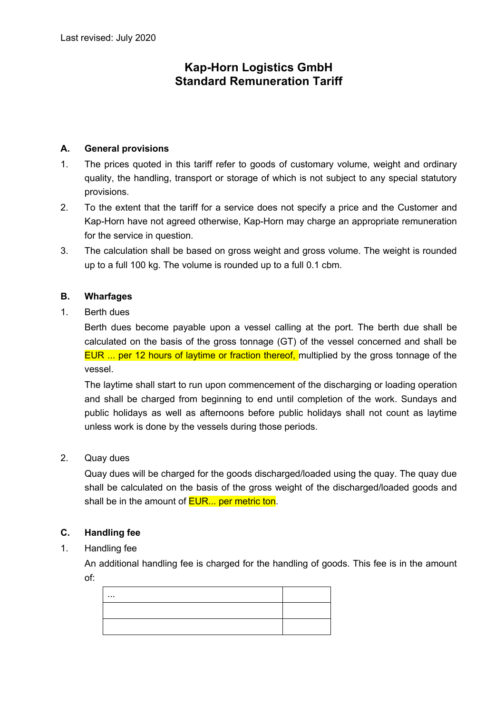# **Kap-Horn Logistics GmbH Standard Remuneration Tariff**

### **A. General provisions**

- 1. The prices quoted in this tariff refer to goods of customary volume, weight and ordinary quality, the handling, transport or storage of which is not subject to any special statutory provisions.
- 2. To the extent that the tariff for a service does not specify a price and the Customer and Kap-Horn have not agreed otherwise, Kap-Horn may charge an appropriate remuneration for the service in question.
- 3. The calculation shall be based on gross weight and gross volume. The weight is rounded up to a full 100 kg. The volume is rounded up to a full 0.1 cbm.

# **B. Wharfages**

1. Berth dues

Berth dues become payable upon a vessel calling at the port. The berth due shall be calculated on the basis of the gross tonnage (GT) of the vessel concerned and shall be EUR ... per 12 hours of laytime or fraction thereof, multiplied by the gross tonnage of the vessel.

The laytime shall start to run upon commencement of the discharging or loading operation and shall be charged from beginning to end until completion of the work. Sundays and public holidays as well as afternoons before public holidays shall not count as laytime unless work is done by the vessels during those periods.

2. Quay dues

Quay dues will be charged for the goods discharged/loaded using the quay. The quay due shall be calculated on the basis of the gross weight of the discharged/loaded goods and shall be in the amount of **EUR...** per metric ton.

## **C. Handling fee**

1. Handling fee

An additional handling fee is charged for the handling of goods. This fee is in the amount of:

| $\cdots$ |  |
|----------|--|
|          |  |
|          |  |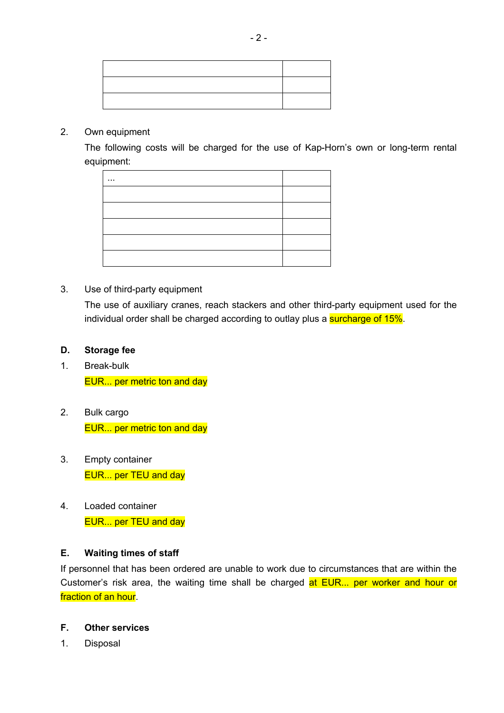#### 2. Own equipment

The following costs will be charged for the use of Kap-Horn's own or long-term rental equipment:

| . |  |
|---|--|
|   |  |
|   |  |
|   |  |
|   |  |
|   |  |

## 3. Use of third-party equipment

The use of auxiliary cranes, reach stackers and other third-party equipment used for the individual order shall be charged according to outlay plus a surcharge of 15%.

#### **D. Storage fee**

- 1. Break-bulk EUR... per metric ton and day
- 2. Bulk cargo EUR... per metric ton and day
- 3. Empty container EUR... per TEU and day
- 4. Loaded container EUR... per TEU and day

## **E. Waiting times of staff**

If personnel that has been ordered are unable to work due to circumstances that are within the Customer's risk area, the waiting time shall be charged at EUR... per worker and hour or fraction of an hour.

# **F. Other services**

1. Disposal